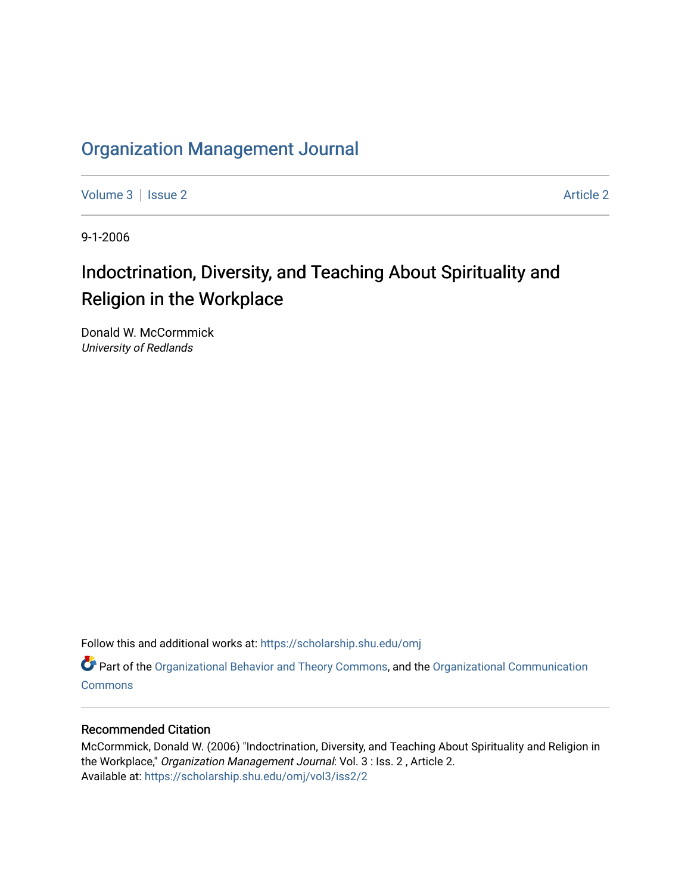# [Organization Management Journal](https://scholarship.shu.edu/omj)

[Volume 3](https://scholarship.shu.edu/omj/vol3) | [Issue 2](https://scholarship.shu.edu/omj/vol3/iss2) Article 2

9-1-2006

# Indoctrination, Diversity, and Teaching About Spirituality and Religion in the Workplace

Donald W. McCormmick University of Redlands

Follow this and additional works at: [https://scholarship.shu.edu/omj](https://scholarship.shu.edu/omj?utm_source=scholarship.shu.edu%2Fomj%2Fvol3%2Fiss2%2F2&utm_medium=PDF&utm_campaign=PDFCoverPages) 

Part of the [Organizational Behavior and Theory Commons,](http://network.bepress.com/hgg/discipline/639?utm_source=scholarship.shu.edu%2Fomj%2Fvol3%2Fiss2%2F2&utm_medium=PDF&utm_campaign=PDFCoverPages) and the [Organizational Communication](http://network.bepress.com/hgg/discipline/335?utm_source=scholarship.shu.edu%2Fomj%2Fvol3%2Fiss2%2F2&utm_medium=PDF&utm_campaign=PDFCoverPages) **[Commons](http://network.bepress.com/hgg/discipline/335?utm_source=scholarship.shu.edu%2Fomj%2Fvol3%2Fiss2%2F2&utm_medium=PDF&utm_campaign=PDFCoverPages)** 

#### Recommended Citation

McCormmick, Donald W. (2006) "Indoctrination, Diversity, and Teaching About Spirituality and Religion in the Workplace," Organization Management Journal: Vol. 3 : Iss. 2, Article 2. Available at: [https://scholarship.shu.edu/omj/vol3/iss2/2](https://scholarship.shu.edu/omj/vol3/iss2/2?utm_source=scholarship.shu.edu%2Fomj%2Fvol3%2Fiss2%2F2&utm_medium=PDF&utm_campaign=PDFCoverPages)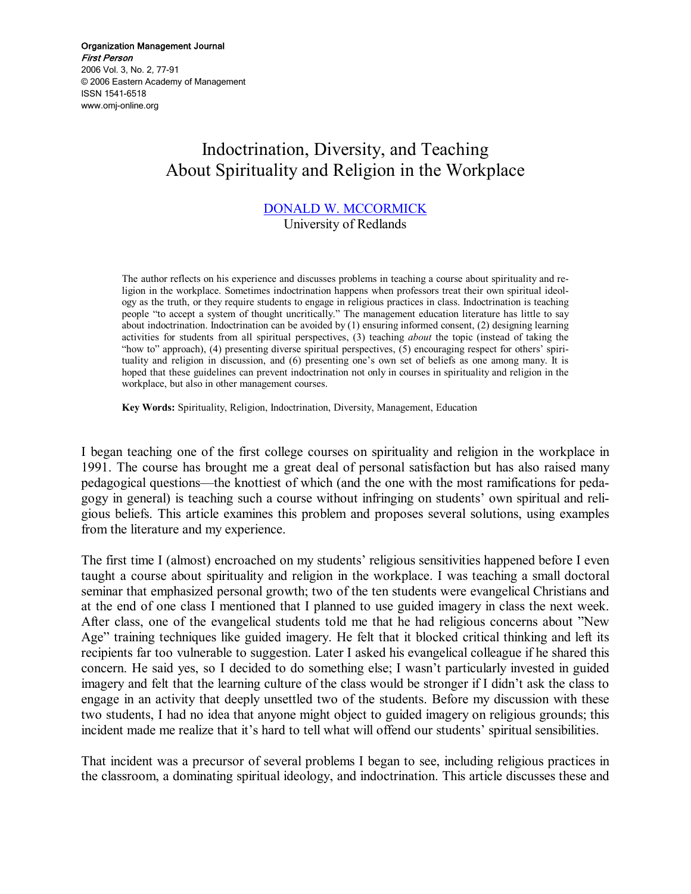Organization Management Journal First Person 2006 Vol. 3, No. 2, 77-91 © 2006 Eastern Academy of Management **ISSN 1541-6518** www.omj-online.org

# Indoctrination, Diversity, and Teaching About Spirituality and Religion in the Workplace

# DONALD W. [MCCORMICK](mailto:dwm2@cwru.edu)

University of Redlands

The author reflects on his experience and discusses problems in teaching a course about spirituality and religion in the workplace. Sometimes indoctrination happens when professors treat their own spiritual ideol ogy as the truth, or they require students to engage in religious practices in class. Indoctrination is teaching people "to accept a system of thought uncritically." The management education literature has little to say about indoctrination. Indoctrination can be avoided by (1) ensuring informed consent, (2) designing learning activities for students from all spiritual perspectives, (3) teaching *about* the topic (instead of taking the "how to" approach), (4) presenting diverse spiritual perspectives, (5) encouraging respect for others' spirituality and religion in discussion, and (6) presenting one's own set of beliefs as one among many. It is hoped that these guidelines can prevent indoctrination not only in courses in spirituality and religion in the workplace, but also in other management courses.

**Key Words:** Spirituality, Religion, Indoctrination, Diversity, Management, Education

I began teaching one of the first college courses on spirituality and religion in the workplace in 1991. The course has brought me a great deal of personal satisfaction but has also raised many pedagogical questions—the knottiest of which (and the one with the most ramifications for peda gogy in general) is teaching such a course without infringing on students' own spiritual and reli gious beliefs. This article examines this problem and proposes several solutions, using examples from the literature and my experience.

The first time I (almost) encroached on my students' religious sensitivities happened before I even taught a course about spirituality and religion in the workplace. I was teaching a small doctoral seminar that emphasized personal growth; two of the ten students were evangelical Christians and at the end of one class I mentioned that I planned to use guided imagery in class the next week. After class, one of the evangelical students told me that he had religious concerns about "New Age" training techniques like guided imagery. He felt that it blocked critical thinking and left its recipients far too vulnerable to suggestion. Later I asked his evangelical colleague if he shared this concern. He said yes, so I decided to do something else; I wasn't particularly invested in guided imagery and felt that the learning culture of the class would be stronger if I didn't ask the class to engage in an activity that deeply unsettled two of the students. Before my discussion with these two students, I had no idea that anyone might object to guided imagery on religious grounds; this incident made me realize that it's hard to tell what will offend our students' spiritual sensibilities.

That incident was a precursor of several problems I began to see, including religious practices in the classroom, a dominating spiritual ideology, and indoctrination. This article discusses these and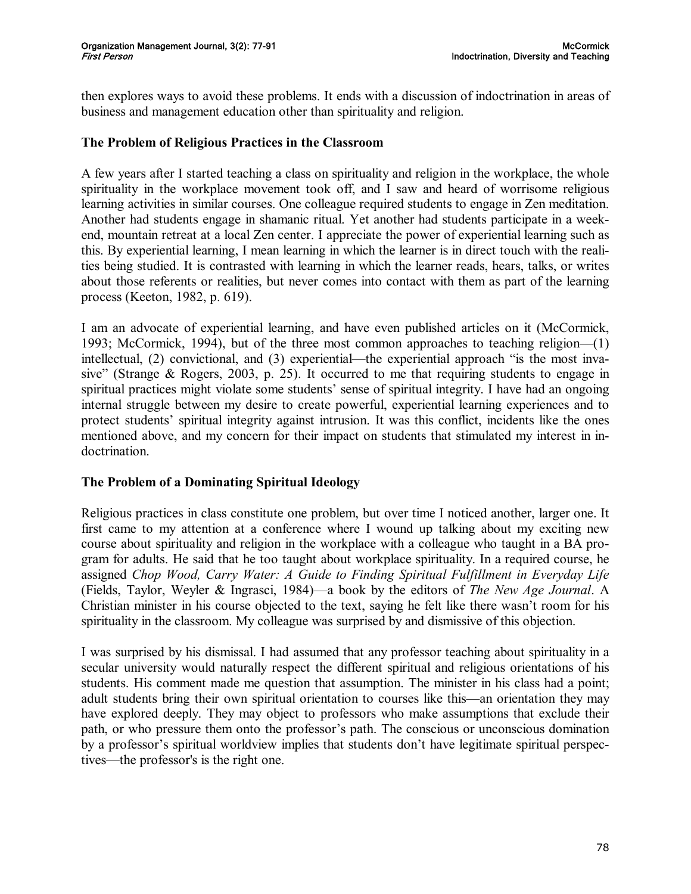then explores ways to avoid these problems. It ends with a discussion of indoctrination in areas of business and management education other than spirituality and religion.

#### **The Problem of Religious Practices in the Classroom**

A few years after I started teaching a class on spirituality and religion in the workplace, the whole spirituality in the workplace movement took off, and I saw and heard of worrisome religious learning activities in similar courses. One colleague required students to engage in Zen meditation. Another had students engage in shamanic ritual. Yet another had students participate in a weekend, mountain retreat at a local Zen center. I appreciate the power of experiential learning such as this. By experiential learning, I mean learning in which the learner is in direct touch with the realities being studied. It is contrasted with learning in which the learner reads, hears, talks, or writes about those referents or realities, but never comes into contact with them as part of the learning process (Keeton, 1982, p. 619).

I am an advocate of experiential learning, and have even published articles on it (McCormick, 1993; McCormick, 1994), but of the three most common approaches to teaching religion—(1) intellectual, (2) convictional, and (3) experiential—the experiential approach "is the most inva sive" (Strange & Rogers, 2003, p. 25). It occurred to me that requiring students to engage in spiritual practices might violate some students' sense of spiritual integrity. I have had an ongoing internal struggle between my desire to create powerful, experiential learning experiences and to protect students' spiritual integrity against intrusion. It was this conflict, incidents like the ones mentioned above, and my concern for their impact on students that stimulated my interest in in doctrination.

#### **The Problem of a Dominating Spiritual Ideology**

Religious practices in class constitute one problem, but over time I noticed another, larger one. It first came to my attention at a conference where I wound up talking about my exciting new course about spirituality and religion in the workplace with a colleague who taught in a BA pro gram for adults. He said that he too taught about workplace spirituality. In a required course, he assigned *Chop Wood, Carry Water: A Guide to Finding Spiritual Fulfillment in Everyday Life* (Fields, Taylor, Weyler & Ingrasci, 1984)—a book by the editors of *The New Age Journal*. A Christian minister in his course objected to the text, saying he felt like there wasn't room for his spirituality in the classroom. My colleague was surprised by and dismissive of this objection.

I was surprised by his dismissal. I had assumed that any professor teaching about spirituality in a secular university would naturally respect the different spiritual and religious orientations of his students. His comment made me question that assumption. The minister in his class had a point; adult students bring their own spiritual orientation to courses like this—an orientation they may have explored deeply. They may object to professors who make assumptions that exclude their path, or who pressure them onto the professor's path. The conscious or unconscious domination by a professor's spiritual worldview implies that students don't have legitimate spiritual perspec tives—the professor's is the right one.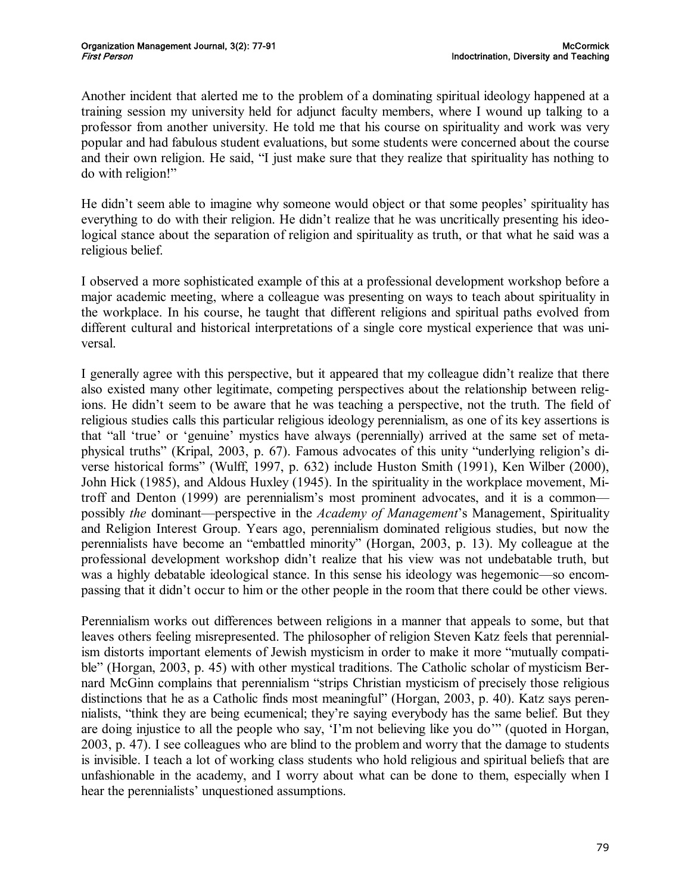Another incident that alerted me to the problem of a dominating spiritual ideology happened at a training session my university held for adjunct faculty members, where I wound up talking to a professor from another university. He told me that his course on spirituality and work was very popular and had fabulous student evaluations, but some students were concerned about the course and their own religion. He said, "I just make sure that they realize that spirituality has nothing to do with religion!"

He didn't seem able to imagine why someone would object or that some peoples' spirituality has everything to do with their religion. He didn't realize that he was uncritically presenting his ideological stance about the separation of religion and spirituality as truth, or that what he said was a religious belief.

I observed a more sophisticated example of this at a professional development workshop before a major academic meeting, where a colleague was presenting on ways to teach about spirituality in the workplace. In his course, he taught that different religions and spiritual paths evolved from different cultural and historical interpretations of a single core mystical experience that was uni versal.

I generally agree with this perspective, but it appeared that my colleague didn't realize that there also existed many other legitimate, competing perspectives about the relationship between religions. He didn't seem to be aware that he was teaching a perspective, not the truth. The field of religious studies calls this particular religious ideology perennialism, as one of its key assertions is that "all 'true' or 'genuine' mystics have always (perennially) arrived at the same set of meta physical truths" (Kripal, 2003, p. 67). Famous advocates of this unity "underlying religion's di verse historical forms" (Wulff, 1997, p. 632) include Huston Smith (1991), Ken Wilber (2000), John Hick (1985), and Aldous Huxley (1945). In the spirituality in the workplace movement, Mitroff and Denton (1999) are perennialism's most prominent advocates, and it is a common possibly *the* dominant—perspective in the *Academy of Management*'s Management, Spirituality and Religion Interest Group. Years ago, perennialism dominated religious studies, but now the perennialists have become an "embattled minority" (Horgan, 2003, p. 13). My colleague at the professional development workshop didn't realize that his view was not undebatable truth, but was a highly debatable ideological stance. In this sense his ideology was hegemonic—so encom passing that it didn't occur to him or the other people in the room that there could be other views.

Perennialism works out differences between religions in a manner that appeals to some, but that leaves others feeling misrepresented. The philosopher of religion Steven Katz feels that perennialism distorts important elements of Jewish mysticism in order to make it more "mutually compati ble" (Horgan, 2003, p. 45) with other mystical traditions. The Catholic scholar of mysticism Bernard McGinn complains that perennialism "strips Christian mysticism of precisely those religious distinctions that he as a Catholic finds most meaningful" (Horgan, 2003, p. 40). Katz says perennialists, "think they are being ecumenical; they're saying everybody has the same belief. But they are doing injustice to all the people who say, 'I'm not believing like you do'" (quoted in Horgan, 2003, p. 47). I see colleagues who are blind to the problem and worry that the damage to students is invisible. I teach a lot of working class students who hold religious and spiritual beliefs that are unfashionable in the academy, and I worry about what can be done to them, especially when I hear the perennialists' unquestioned assumptions.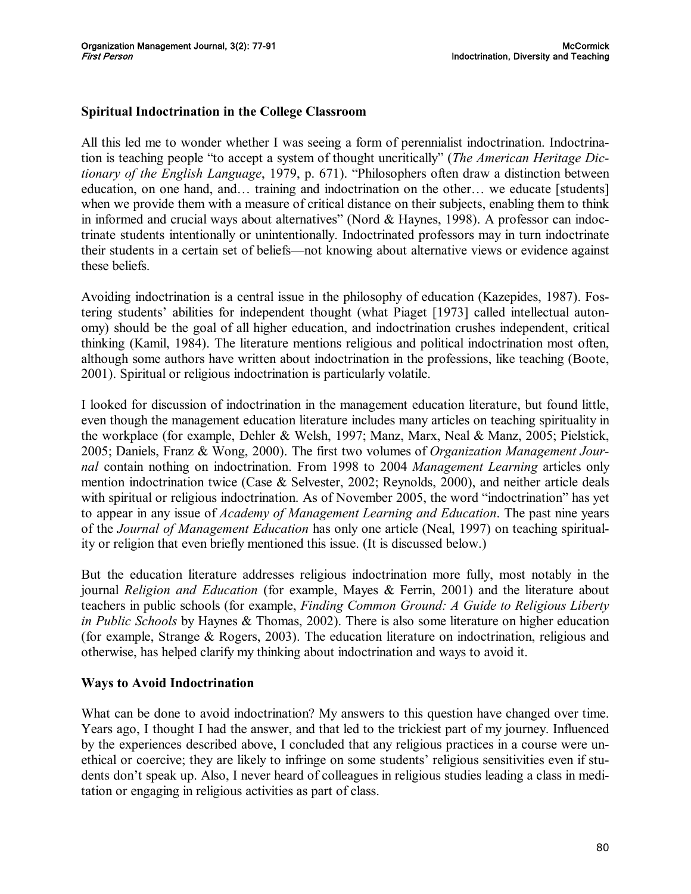#### **Spiritual Indoctrination in the College Classroom**

All this led me to wonder whether I was seeing a form of perennialist indoctrination. Indoctrina tion is teaching people "to accept a system of thought uncritically" (*The American Heritage Dic tionary of the English Language*, 1979, p. 671). "Philosophers often draw a distinction between education, on one hand, and… training and indoctrination on the other… we educate [students] when we provide them with a measure of critical distance on their subjects, enabling them to think in informed and crucial ways about alternatives" (Nord & Haynes, 1998). A professor can indoc trinate students intentionally or unintentionally. Indoctrinated professors may in turn indoctrinate their students in a certain set of beliefs—not knowing about alternative views or evidence against these beliefs.

Avoiding indoctrination is a central issue in the philosophy of education (Kazepides, 1987). Fostering students' abilities for independent thought (what Piaget [1973] called intellectual auton omy) should be the goal of all higher education, and indoctrination crushes independent, critical thinking (Kamil, 1984). The literature mentions religious and political indoctrination most often, although some authors have written about indoctrination in the professions, like teaching (Boote, 2001). Spiritual or religious indoctrination is particularly volatile.

I looked for discussion of indoctrination in the management education literature, but found little, even though the management education literature includes many articles on teaching spirituality in the workplace (for example, Dehler & Welsh, 1997; Manz, Marx, Neal & Manz, 2005; Pielstick, 2005; Daniels, Franz & Wong, 2000). The first two volumes of *Organization Management Jour nal* contain nothing on indoctrination. From 1998 to 2004 *Management Learning* articles only mention indoctrination twice (Case & Selvester, 2002; Reynolds, 2000), and neither article deals with spiritual or religious indoctrination. As of November 2005, the word "indoctrination" has yet to appear in any issue of *Academy of Management Learning and Education*. The past nine years of the *Journal of Management Education* has only one article (Neal, 1997) on teaching spirituality or religion that even briefly mentioned this issue. (It is discussed below.)

But the education literature addresses religious indoctrination more fully, most notably in the journal *Religion and Education* (for example, Mayes & Ferrin, 2001) and the literature about teachers in public schools (for example, *Finding Common Ground: A Guide to Religious Liberty in Public Schools* by Haynes & Thomas, 2002). There is also some literature on higher education (for example, Strange & Rogers, 2003). The education literature on indoctrination, religious and otherwise, has helped clarify my thinking about indoctrination and ways to avoid it.

#### **Ways to Avoid Indoctrination**

What can be done to avoid indoctrination? My answers to this question have changed over time. Years ago, I thought I had the answer, and that led to the trickiest part of my journey. Influenced by the experiences described above, I concluded that any religious practices in a course were un ethical or coercive; they are likely to infringe on some students' religious sensitivities even if students don't speak up. Also, I never heard of colleagues in religious studies leading a class in meditation or engaging in religious activities as part of class.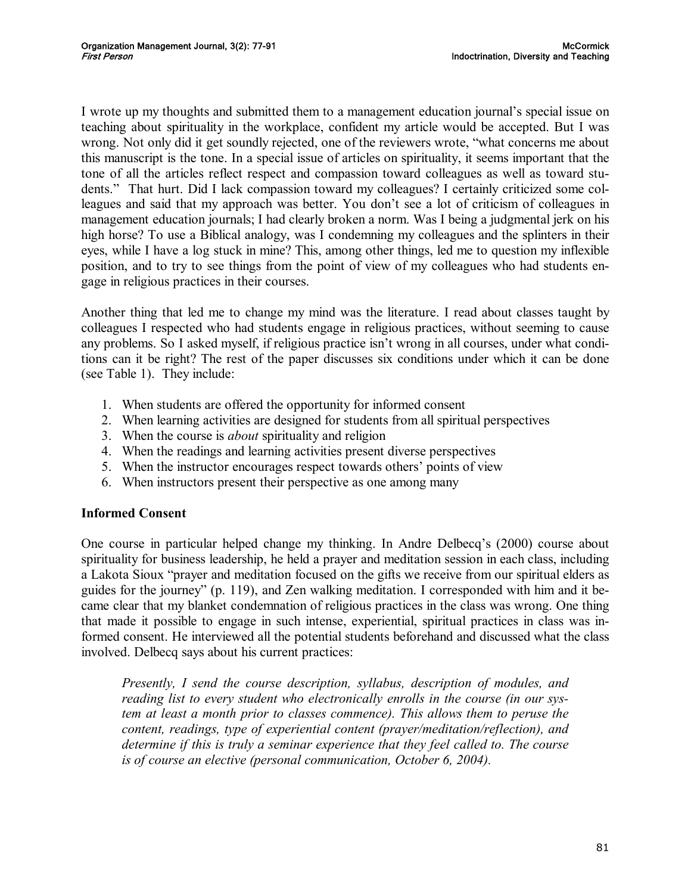I wrote up my thoughts and submitted them to a management education journal's special issue on teaching about spirituality in the workplace, confident my article would be accepted. But I was wrong. Not only did it get soundly rejected, one of the reviewers wrote, "what concerns me about this manuscript is the tone. In a special issue of articles on spirituality, it seems important that the tone of all the articles reflect respect and compassion toward colleagues as well as toward students." That hurt. Did I lack compassion toward my colleagues? I certainly criticized some colleagues and said that my approach was better. You don't see a lot of criticism of colleagues in management education journals; I had clearly broken a norm. Was I being a judgmental jerk on his high horse? To use a Biblical analogy, was I condemning my colleagues and the splinters in their eyes, while I have a log stuck in mine? This, among other things, led me to question my inflexible position, and to try to see things from the point of view of my colleagues who had students en gage in religious practices in their courses.

Another thing that led me to change my mind was the literature. I read about classes taught by colleagues I respected who had students engage in religious practices, without seeming to cause any problems. So I asked myself, if religious practice isn't wrong in all courses, under what conditions can it be right? The rest of the paper discusses six conditions under which it can be done (see Table 1). They include:

- 1. When students are offered the opportunity for informed consent
- 2. When learning activities are designed for students from all spiritual perspectives
- 3. When the course is *about* spirituality and religion
- 4. When the readings and learning activities present diverse perspectives
- 5. When the instructor encourages respect towards others' points of view
- 6. When instructors present their perspective as one among many

#### **Informed Consent**

One course in particular helped change my thinking. In Andre Delbecq's (2000) course about spirituality for business leadership, he held a prayer and meditation session in each class, including a Lakota Sioux "prayer and meditation focused on the gifts we receive from our spiritual elders as guides for the journey" (p. 119), and Zen walking meditation. I corresponded with him and it be came clear that my blanket condemnation of religious practices in the class was wrong. One thing that made it possible to engage in such intense, experiential, spiritual practices in class was informed consent. He interviewed all the potential students beforehand and discussed what the class involved. Delbecq says about his current practices:

*Presently, I send the course description, syllabus, description of modules, and reading list to every student who electronically enrolls in the course (in our system at least a month prior to classes commence). This allows them to peruse the content, readings, type of experiential content (prayer/meditation/reflection), and determine if this is truly a seminar experience that they feel called to. The course is of course an elective (personal communication, October 6, 2004).*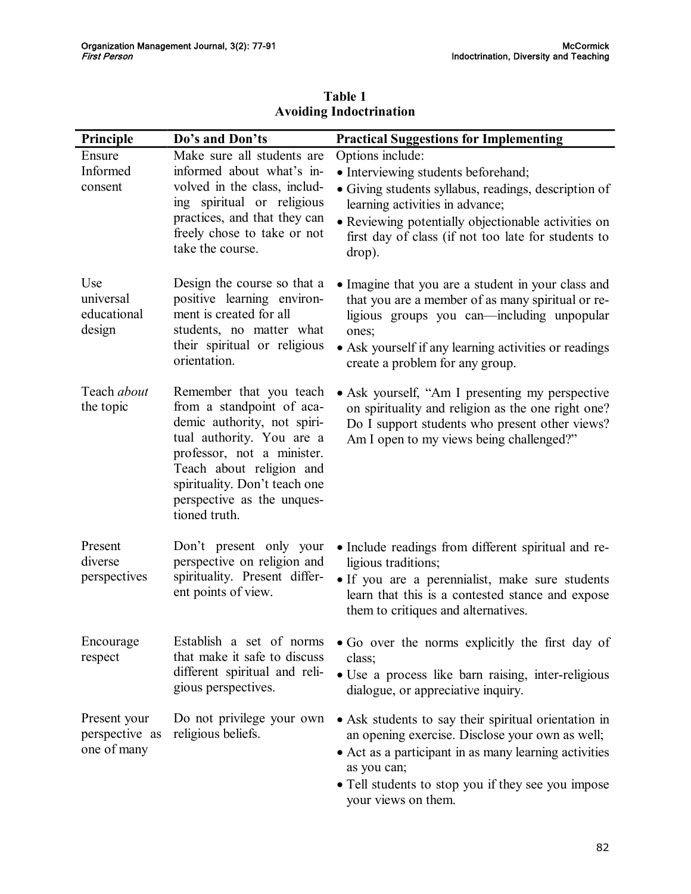| Principle                                     | Do's and Don'ts                                                                                                                                                                                                                                            | <b>Practical Suggestions for Implementing</b>                                                                                                                                                                                                                              |
|-----------------------------------------------|------------------------------------------------------------------------------------------------------------------------------------------------------------------------------------------------------------------------------------------------------------|----------------------------------------------------------------------------------------------------------------------------------------------------------------------------------------------------------------------------------------------------------------------------|
| Ensure<br>Informed<br>consent                 | Make sure all students are<br>informed about what's in-<br>volved in the class, includ-<br>ing spiritual or religious<br>practices, and that they can<br>freely chose to take or not<br>take the course.                                                   | Options include:<br>• Interviewing students beforehand;<br>• Giving students syllabus, readings, description of<br>learning activities in advance;<br>• Reviewing potentially objectionable activities on<br>first day of class (if not too late for students to<br>drop). |
| Use<br>universal<br>educational<br>design     | Design the course so that a<br>positive learning environ-<br>ment is created for all<br>students, no matter what<br>their spiritual or religious<br>orientation.                                                                                           | • Imagine that you are a student in your class and<br>that you are a member of as many spiritual or re-<br>ligious groups you can-including unpopular<br>ones;<br>• Ask yourself if any learning activities or readings<br>create a problem for any group.                 |
| Teach about<br>the topic                      | Remember that you teach<br>from a standpoint of aca-<br>demic authority, not spiri-<br>tual authority. You are a<br>professor, not a minister.<br>Teach about religion and<br>spirituality. Don't teach one<br>perspective as the unques-<br>tioned truth. | • Ask yourself, "Am I presenting my perspective<br>on spirituality and religion as the one right one?<br>Do I support students who present other views?<br>Am I open to my views being challenged?"                                                                        |
| Present<br>diverse<br>perspectives            | Don't present only your<br>perspective on religion and<br>spirituality. Present differ-<br>ent points of view.                                                                                                                                             | • Include readings from different spiritual and re-<br>ligious traditions;<br>• If you are a perennialist, make sure students<br>learn that this is a contested stance and expose<br>them to critiques and alternatives.                                                   |
| Encourage<br>respect                          | Establish a set of norms<br>that make it safe to discuss<br>different spiritual and reli-<br>gious perspectives.                                                                                                                                           | • Go over the norms explicitly the first day of<br>class;<br>• Use a process like barn raising, inter-religious<br>dialogue, or appreciative inquiry.                                                                                                                      |
| Present your<br>perspective as<br>one of many | Do not privilege your own<br>religious beliefs.                                                                                                                                                                                                            | • Ask students to say their spiritual orientation in<br>an opening exercise. Disclose your own as well;<br>• Act as a participant in as many learning activities<br>as you can;<br>• Tell students to stop you if they see you impose<br>your views on them.               |

### **Table 1 Avoiding Indoctrination**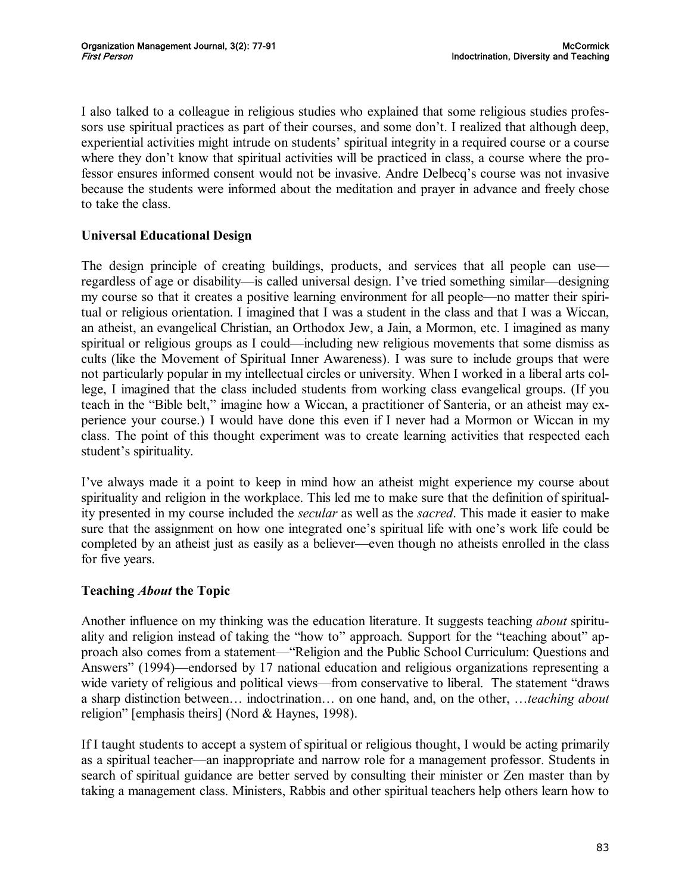I also talked to a colleague in religious studies who explained that some religious studies profes sors use spiritual practices as part of their courses, and some don't. I realized that although deep, experiential activities might intrude on students' spiritual integrity in a required course or a course where they don't know that spiritual activities will be practiced in class, a course where the professor ensures informed consent would not be invasive. Andre Delbecq's course was not invasive because the students were informed about the meditation and prayer in advance and freely chose to take the class.

### **Universal Educational Design**

The design principle of creating buildings, products, and services that all people can use regardless of age or disability—is called universal design. I've tried something similar—designing my course so that it creates a positive learning environment for all people—no matter their spiritual or religious orientation. I imagined that I was a student in the class and that I was a Wiccan, an atheist, an evangelical Christian, an Orthodox Jew, a Jain, a Mormon, etc. I imagined as many spiritual or religious groups as I could—including new religious movements that some dismiss as cults (like the Movement of Spiritual Inner Awareness). I was sure to include groups that were not particularly popular in my intellectual circles or university. When I worked in a liberal arts college, I imagined that the class included students from working class evangelical groups. (If you teach in the "Bible belt," imagine how a Wiccan, a practitioner of Santeria, or an atheist may ex perience your course.) I would have done this even if I never had a Mormon or Wiccan in my class. The point of this thought experiment was to create learning activities that respected each student's spirituality.

I've always made it a point to keep in mind how an atheist might experience my course about spirituality and religion in the workplace. This led me to make sure that the definition of spirituality presented in my course included the *secular* as well as the *sacred*. This made it easier to make sure that the assignment on how one integrated one's spiritual life with one's work life could be completed by an atheist just as easily as a believer—even though no atheists enrolled in the class for five years.

#### **Teaching** *About* **the Topic**

Another influence on my thinking was the education literature. It suggests teaching *about* spirituality and religion instead of taking the "how to" approach. Support for the "teaching about" ap proach also comes from a statement—"Religion and the Public School Curriculum: Questions and Answers" (1994)—endorsed by 17 national education and religious organizations representing a wide variety of religious and political views—from conservative to liberal. The statement "draws a sharp distinction between… indoctrination… on one hand, and, on the other, …*teaching about* religion" [emphasis theirs] (Nord & Haynes, 1998).

If I taught students to accept a system of spiritual or religious thought, I would be acting primarily as a spiritual teacher—an inappropriate and narrow role for a management professor. Students in search of spiritual guidance are better served by consulting their minister or Zen master than by taking a management class. Ministers, Rabbis and other spiritual teachers help others learn how to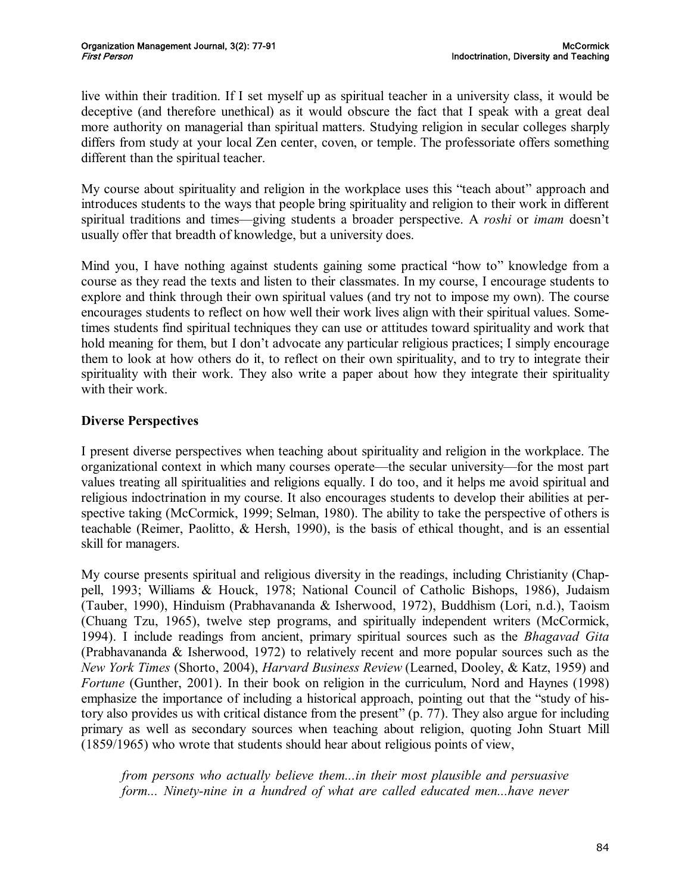live within their tradition. If I set myself up as spiritual teacher in a university class, it would be deceptive (and therefore unethical) as it would obscure the fact that I speak with a great deal more authority on managerial than spiritual matters. Studying religion in secular colleges sharply differs from study at your local Zen center, coven, or temple. The professoriate offers something different than the spiritual teacher.

My course about spirituality and religion in the workplace uses this "teach about" approach and introduces students to the ways that people bring spirituality and religion to their work in different spiritual traditions and times—giving students a broader perspective. A *roshi* or *imam* doesn't usually offer that breadth of knowledge, but a university does.

Mind you, I have nothing against students gaining some practical "how to" knowledge from a course as they read the texts and listen to their classmates. In my course, I encourage students to explore and think through their own spiritual values (and try not to impose my own). The course encourages students to reflect on how well their work lives align with their spiritual values. Some times students find spiritual techniques they can use or attitudes toward spirituality and work that hold meaning for them, but I don't advocate any particular religious practices; I simply encourage them to look at how others do it, to reflect on their own spirituality, and to try to integrate their spirituality with their work. They also write a paper about how they integrate their spirituality with their work.

### **Diverse Perspectives**

I present diverse perspectives when teaching about spirituality and religion in the workplace. The organizational context in which many courses operate—the secular university—for the most part values treating all spiritualities and religions equally. I do too, and it helps me avoid spiritual and religious indoctrination in my course. It also encourages students to develop their abilities at perspective taking (McCormick, 1999; Selman, 1980). The ability to take the perspective of others is teachable (Reimer, Paolitto, & Hersh, 1990), is the basis of ethical thought, and is an essential skill for managers.

My course presents spiritual and religious diversity in the readings, including Christianity (Chap pell, 1993; Williams & Houck, 1978; National Council of Catholic Bishops, 1986), Judaism (Tauber, 1990), Hinduism (Prabhavananda & Isherwood, 1972), Buddhism (Lori, n.d.), Taoism (Chuang Tzu, 1965), twelve step programs, and spiritually independent writers (McCormick, 1994). I include readings from ancient, primary spiritual sources such as the *Bhagavad Gita* (Prabhavananda & Isherwood, 1972) to relatively recent and more popular sources such as the *New York Times* (Shorto, 2004), *Harvard Business Review* (Learned, Dooley, & Katz, 1959) and *Fortune* (Gunther, 2001). In their book on religion in the curriculum, Nord and Haynes (1998) emphasize the importance of including a historical approach, pointing out that the "study of history also provides us with critical distance from the present" (p. 77). They also argue for including primary as well as secondary sources when teaching about religion, quoting John Stuart Mill (1859/1965) who wrote that students should hear about religious points of view,

*from persons who actually believe them...in their most plausible and persuasive form... Ninetynine in a hundred of what are called educated men...have never*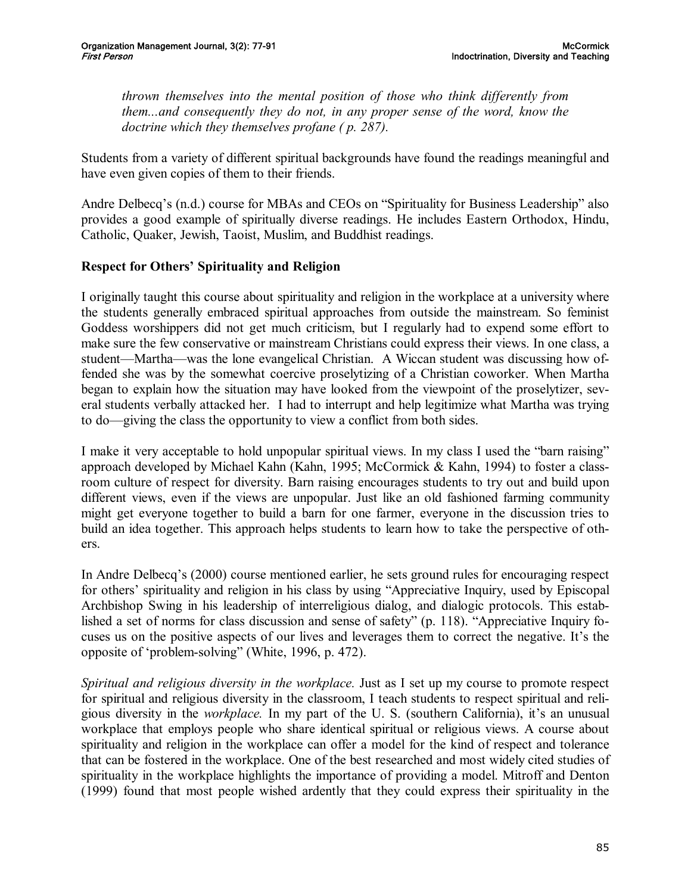*thrown themselves into the mental position of those who think differently from them...and consequently they do not, in any proper sense of the word, know the doctrine which they themselves profane ( p. 287).*

Students from a variety of different spiritual backgrounds have found the readings meaningful and have even given copies of them to their friends.

Andre Delbecq's (n.d.) course for MBAs and CEOs on "Spirituality for Business Leadership" also provides a good example of spiritually diverse readings. He includes Eastern Orthodox, Hindu, Catholic, Quaker, Jewish, Taoist, Muslim, and Buddhist readings.

### **Respect for Others' Spirituality and Religion**

I originally taught this course about spirituality and religion in the workplace at a university where the students generally embraced spiritual approaches from outside the mainstream. So feminist Goddess worshippers did not get much criticism, but I regularly had to expend some effort to make sure the few conservative or mainstream Christians could express their views. In one class, a student—Martha—was the lone evangelical Christian. A Wiccan student was discussing how offended she was by the somewhat coercive proselytizing of a Christian coworker. When Martha began to explain how the situation may have looked from the viewpoint of the proselytizer, sev eral students verbally attacked her. I had to interrupt and help legitimize what Martha was trying to do—giving the class the opportunity to view a conflict from both sides.

I make it very acceptable to hold unpopular spiritual views. In my class I used the "barn raising" approach developed by Michael Kahn (Kahn, 1995; McCormick & Kahn, 1994) to foster a classroom culture of respect for diversity. Barn raising encourages students to try out and build upon different views, even if the views are unpopular. Just like an old fashioned farming community might get everyone together to build a barn for one farmer, everyone in the discussion tries to build an idea together. This approach helps students to learn how to take the perspective of oth ers.

In Andre Delbecq's (2000) course mentioned earlier, he sets ground rules for encouraging respect for others' spirituality and religion in his class by using "Appreciative Inquiry, used by Episcopal Archbishop Swing in his leadership of interreligious dialog, and dialogic protocols. This established a set of norms for class discussion and sense of safety" (p. 118). "Appreciative Inquiry focuses us on the positive aspects of our lives and leverages them to correct the negative. It's the opposite of 'problemsolving" (White, 1996, p. 472).

*Spiritual and religious diversity in the workplace.* Just as I set up my course to promote respect for spiritual and religious diversity in the classroom, I teach students to respect spiritual and reli gious diversity in the *workplace.* In my part of the U. S. (southern California), it's an unusual workplace that employs people who share identical spiritual or religious views. A course about spirituality and religion in the workplace can offer a model for the kind of respect and tolerance that can be fostered in the workplace. One of the best researched and most widely cited studies of spirituality in the workplace highlights the importance of providing a model. Mitroff and Denton (1999) found that most people wished ardently that they could express their spirituality in the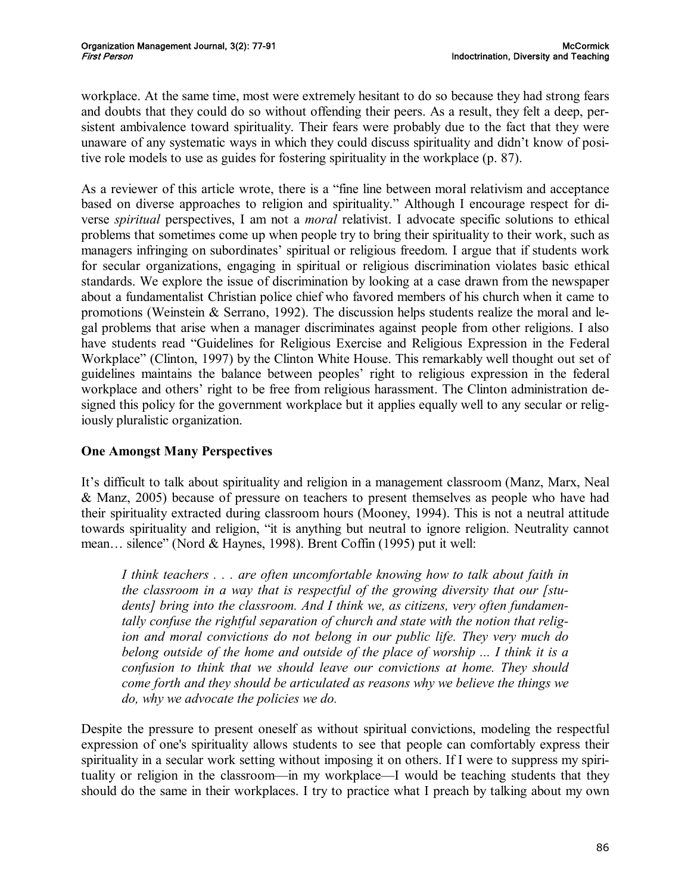workplace. At the same time, most were extremely hesitant to do so because they had strong fears and doubts that they could do so without offending their peers. As a result, they felt a deep, persistent ambivalence toward spirituality. Their fears were probably due to the fact that they were unaware of any systematic ways in which they could discuss spirituality and didn't know of positive role models to use as guides for fostering spirituality in the workplace (p. 87).

As a reviewer of this article wrote, there is a "fine line between moral relativism and acceptance based on diverse approaches to religion and spirituality." Although I encourage respect for di verse *spiritual* perspectives, I am nota *moral* relativist. I advocate specific solutions to ethical problems that sometimes come up when people try to bring their spirituality to their work, such as managers infringing on subordinates' spiritual or religious freedom. I argue that if students work for secular organizations, engaging in spiritual or religious discrimination violates basic ethical standards. We explore the issue of discrimination by looking at a case drawn from the newspaper about a fundamentalist Christian police chief who favored members of his church when it came to promotions (Weinstein & Serrano, 1992). The discussion helps students realize the moral and le gal problems that arise when a manager discriminates against people from other religions. I also have students read "Guidelines for Religious Exercise and Religious Expression in the Federal Workplace" (Clinton, 1997) by the Clinton White House. This remarkably well thought out set of guidelines maintains the balance between peoples' right to religious expression in the federal workplace and others' right to be free from religious harassment. The Clinton administration de signed this policy for the government workplace but it applies equally well to any secular or religiously pluralistic organization.

## **One Amongst Many Perspectives**

It's difficult to talk about spirituality and religion in a management classroom (Manz, Marx, Neal & Manz, 2005) because of pressure on teachers to present themselves as people who have had their spirituality extracted during classroom hours (Mooney, 1994). This is not a neutral attitude towards spirituality and religion, "it is anything but neutral to ignore religion. Neutrality cannot mean… silence" (Nord & Haynes, 1998). Brent Coffin (1995) put it well:

*I think teachers . . . are often uncomfortable knowing how to talk about faith in the classroom in a way that is respectful of the growing diversity that our [students] bring into the classroom. And I think we, as citizens, very often fundamen tally confuse the rightful separation of church and state with the notion that religion and moral convictions do not belong in our public life. They very much do belong outside of the home and outside of the place of worship ... I think it is a confusion to think that we should leave our convictions at home. They should come forth and they should be articulated as reasons why we believe the things we do, why we advocate the policies we do.*

Despite the pressure to present oneself as without spiritual convictions, modeling the respectful expression of one's spirituality allows students to see that people can comfortably express their spirituality in a secular work setting without imposing it on others. If I were to suppress my spirituality or religion in the classroom—in my workplace—I would be teaching students that they should do the same in their workplaces. I try to practice what I preach by talking about my own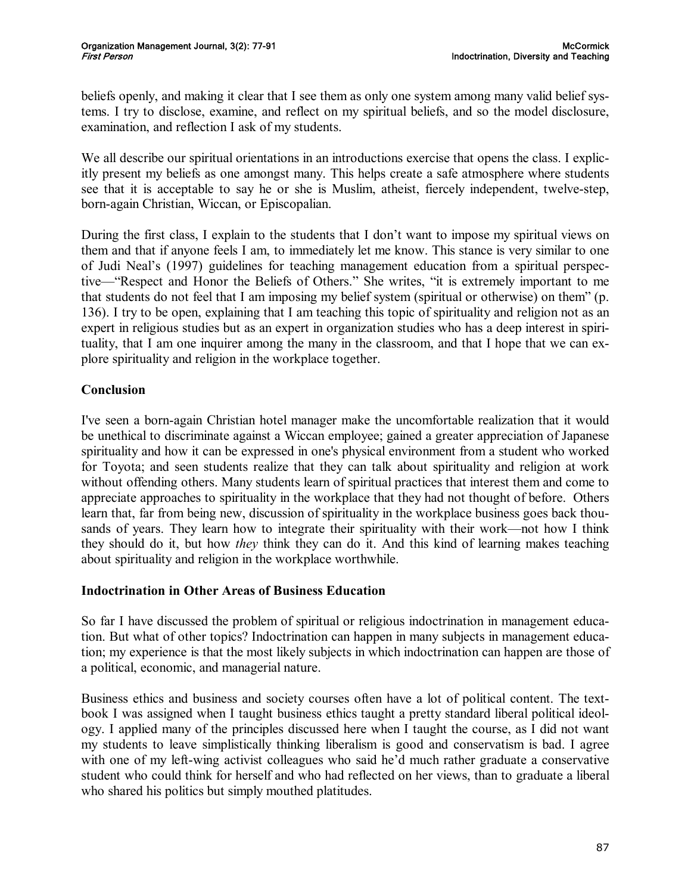beliefs openly, and making it clear that I see them as only one system among many valid belief systems. I try to disclose, examine, and reflect on my spiritual beliefs, and so the model disclosure, examination, and reflection I ask of my students.

We all describe our spiritual orientations in an introductions exercise that opens the class. I explicitly present my beliefs as one amongst many. This helps create a safe atmosphere where students see that it is acceptable to say he or she is Muslim, atheist, fiercely independent, twelve-step, born-again Christian, Wiccan, or Episcopalian.

During the first class, I explain to the students that I don't want to impose my spiritual views on them and that if anyone feels I am, to immediately let me know. This stance is very similar to one of Judi Neal's (1997) guidelines for teaching management education from a spiritual perspec tive—"Respect and Honor the Beliefs of Others." She writes, "it is extremely important to me that students do not feel that I am imposing my belief system (spiritual or otherwise) on them" (p. 136). I try to be open, explaining that I am teaching this topic of spirituality and religion not as an expert in religious studies but as an expert in organization studies who has a deep interest in spirituality, that I am one inquirer among the many in the classroom, and that I hope that we can ex plore spirituality and religion in the workplace together.

### **Conclusion**

I've seen a born-again Christian hotel manager make the uncomfortable realization that it would be unethical to discriminate against a Wiccan employee; gained a greater appreciation of Japanese spirituality and how it can be expressed in one's physical environment from a student who worked for Toyota; and seen students realize that they can talk about spirituality and religion at work without offending others. Many students learn of spiritual practices that interest them and come to appreciate approaches to spirituality in the workplace that they had not thought of before. Others learn that, far from being new, discussion of spirituality in the workplace business goes back thousands of years. They learn how to integrate their spirituality with their work—not how I think they should do it, but how *they* think they can do it. And this kind of learning makes teaching about spirituality and religion in the workplace worthwhile.

#### **Indoctrination in Other Areas of Business Education**

So far I have discussed the problem of spiritual or religious indoctrination in management educa tion. But what of other topics? Indoctrination can happen in many subjects in management educa tion; my experience is that the most likely subjects in which indoctrination can happen are those of a political, economic, and managerial nature.

Business ethics and business and society courses often have a lot of political content. The text book I was assigned when I taught business ethics taught a pretty standard liberal political ideol ogy. I applied many of the principles discussed here when I taught the course, as I did not want my students to leave simplistically thinking liberalism is good and conservatism is bad. I agree with one of my left-wing activist colleagues who said he'd much rather graduate a conservative student who could think for herself and who had reflected on her views, than to graduate a liberal who shared his politics but simply mouthed platitudes.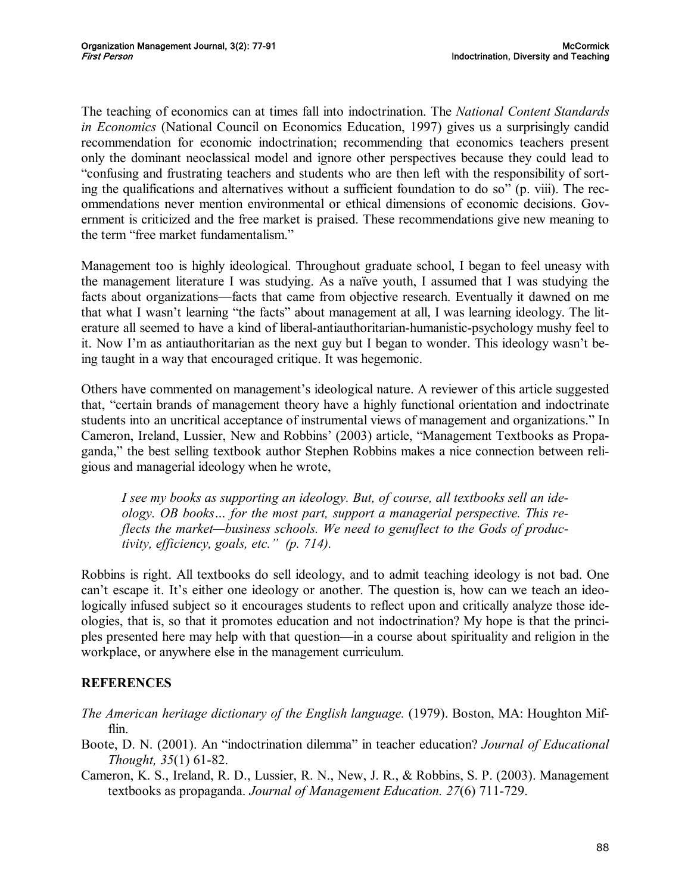The teaching of economics can at times fall into indoctrination. The *National Content Standards in Economics* (National Council on Economics Education, 1997) gives us a surprisingly candid recommendation for economic indoctrination; recommending that economics teachers present only the dominant neoclassical model and ignore other perspectives because they could lead to "confusing and frustrating teachers and students who are then left with the responsibility of sorting the qualifications and alternatives without a sufficient foundation to do so" (p. viii). The rec ommendations never mention environmental or ethical dimensions of economic decisions. Gov ernment is criticized and the free market is praised. These recommendations give new meaning to the term "free market fundamentalism."

Management too is highly ideological. Throughout graduate school, I began to feel uneasy with the management literature I was studying. As a naïve youth, I assumed that I was studying the facts about organizations—facts that came from objective research. Eventually it dawned on me that what I wasn't learning "the facts" about management at all, I was learning ideology. The lit erature all seemed to have a kind of liberal-antiauthoritarian-humanistic-psychology mushy feel to it. Now I'm as antiauthoritarian as the next guy but I began to wonder. This ideology wasn't be ing taught in a way that encouraged critique. It was hegemonic.

Others have commented on management's ideological nature. A reviewer of this article suggested that, "certain brands of management theory have a highly functional orientation and indoctrinate students into an uncritical acceptance of instrumental views of management and organizations." In Cameron, Ireland, Lussier, New and Robbins' (2003) article, "Management Textbooks as Propa ganda," the best selling textbook author Stephen Robbins makes a nice connection between reli gious and managerial ideology when he wrote,

*I see my books as supporting an ideology. But, of course, all textbooks sell an ide ology.* OB books... for the most part, support a managerial perspective. This re*flects the market—business schools. We need to genuflect to the Gods of produc tivity, efficiency, goals, etc." (p. 714).*

Robbins is right. All textbooks do sell ideology, and to admit teaching ideology is not bad. One can't escape it. It's either one ideology or another. The question is, how can we teach an ideologically infused subject so it encourages students to reflect upon and critically analyze those ide ologies, that is, so that it promotes education and not indoctrination? My hope is that the princi ples presented here may help with that question—in a course about spirituality and religion in the workplace, or anywhere else in the management curriculum.

# **REFERENCES**

- *The American heritage dictionary of the English language.* (1979). Boston, MA: Houghton Mifflin.
- Boote, D. N. (2001). An "indoctrination dilemma" in teacher education? *Journal of Educational Thought,* 35(1) 61-82.
- Cameron, K. S., Ireland, R. D., Lussier, R. N., New, J. R., & Robbins, S. P. (2003). Management textbooks as propaganda. *Journal of Management Education.* 27(6) 711-729.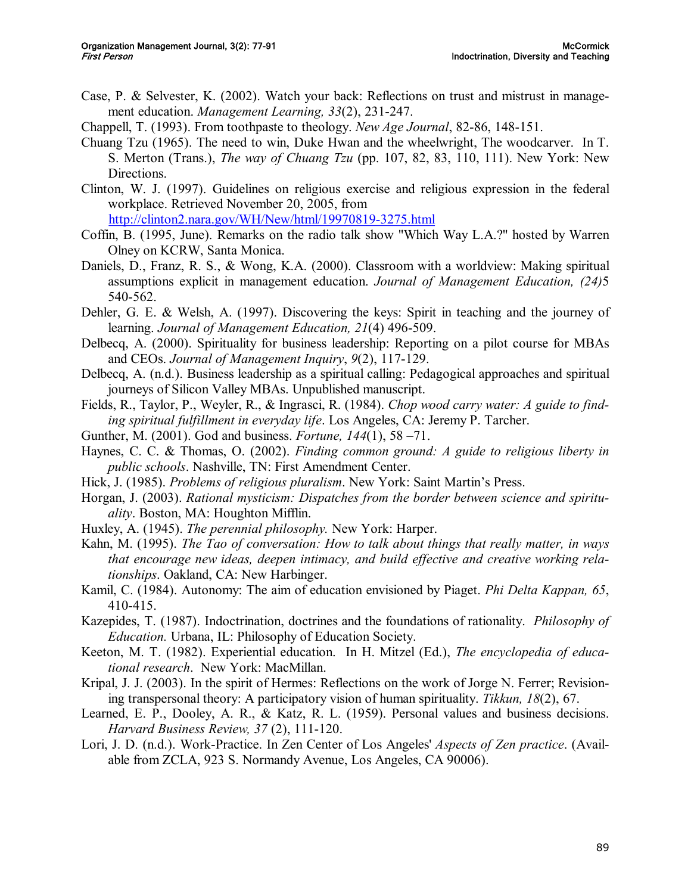- Case, P. & Selvester, K. (2002). Watch your back: Reflections on trust and mistrust in manage ment education. *Management Learning*, 33(2), 231-247.
- Chappell, T. (1993). From toothpaste to theology. *New Age Journal*, 82-86, 148-151.
- Chuang Tzu (1965). The need to win, Duke Hwan and the wheelwright, The woodcarver. In T. S. Merton (Trans.), *The way of Chuang Tzu* (pp. 107, 82, 83, 110, 111). New York: New Directions.
- Clinton, W. J. (1997). Guidelines on religious exercise and religious expression in the federal workplace. Retrieved November 20, 2005, from

http://clinton2.nara.gov/WH/New/html/19970819-3275.html

- Coffin, B. (1995, June). Remarks on the radio talk show "Which Way L.A.?" hosted by Warren Olney on KCRW, Santa Monica.
- Daniels, D., Franz, R. S., & Wong, K.A. (2000). Classroom with a worldview: Making spiritual assumptions explicit in management education. *Journal of Management Education, (24)*5 540-562.
- Dehler, G. E. & Welsh, A. (1997). Discovering the keys: Spirit in teaching and the journey of learning. *Journal of Management Education, 21(4) 496-509.*
- Delbecq, A. (2000). Spirituality for business leadership: Reporting on a pilot course for MBAs and CEOs. *Journal of Management Inquiry*,  $9(2)$ , 117-129.
- Delbecq, A. (n.d.). Business leadership as a spiritual calling: Pedagogical approaches and spiritual journeys of Silicon Valley MBAs. Unpublished manuscript.
- Fields, R., Taylor, P., Weyler, R., & Ingrasci, R. (1984). *Chop wood carry water: A guide to finding spiritual fulfillment in everyday life*. Los Angeles, CA: Jeremy P. Tarcher.
- Gunther, M. (2001). God and business. *Fortune, 144*(1), 58 –71.
- Haynes, C. C. & Thomas, O. (2002). *Finding common ground: A guide to religious liberty in public schools*. Nashville, TN: First Amendment Center.
- Hick, J. (1985). *Problems of religious pluralism*. New York: Saint Martin's Press.
- Horgan, J. (2003). *Rational mysticism: Dispatches from the border between science and spirituality*. Boston, MA: Houghton Mifflin.
- Huxley, A. (1945). *The perennial philosophy.* New York: Harper.
- Kahn, M. (1995). *The Tao of conversation: How to talk about things that really matter, in ways that encourage new ideas, deepen intimacy, and build effective and creative working rela tionships*. Oakland, CA: New Harbinger.
- Kamil, C. (1984). Autonomy: The aim of education envisioned by Piaget. *Phi Delta Kappan, 65*, 410415.
- Kazepides, T. (1987). Indoctrination, doctrines and the foundations of rationality. *Philosophy of Education.* Urbana, IL: Philosophy of Education Society.
- Keeton, M. T. (1982). Experiential education. In H. Mitzel (Ed.), *The encyclopedia of educational research*. New York: MacMillan.
- Kripal, J. J. (2003). In the spirit of Hermes: Reflections on the work of Jorge N. Ferrer; Revisioning transpersonal theory: A participatory vision of human spirituality. *Tikkun, 18*(2), 67.
- Learned, E. P., Dooley, A. R., & Katz, R. L. (1959). Personal values and business decisions. *Harvard Business Review, 37 (2), 111-120.*
- Lori, J. D. (n.d.). Work-Practice. In Zen Center of Los Angeles' *Aspects of Zen practice*. (Available from ZCLA, 923 S. Normandy Avenue, Los Angeles, CA 90006).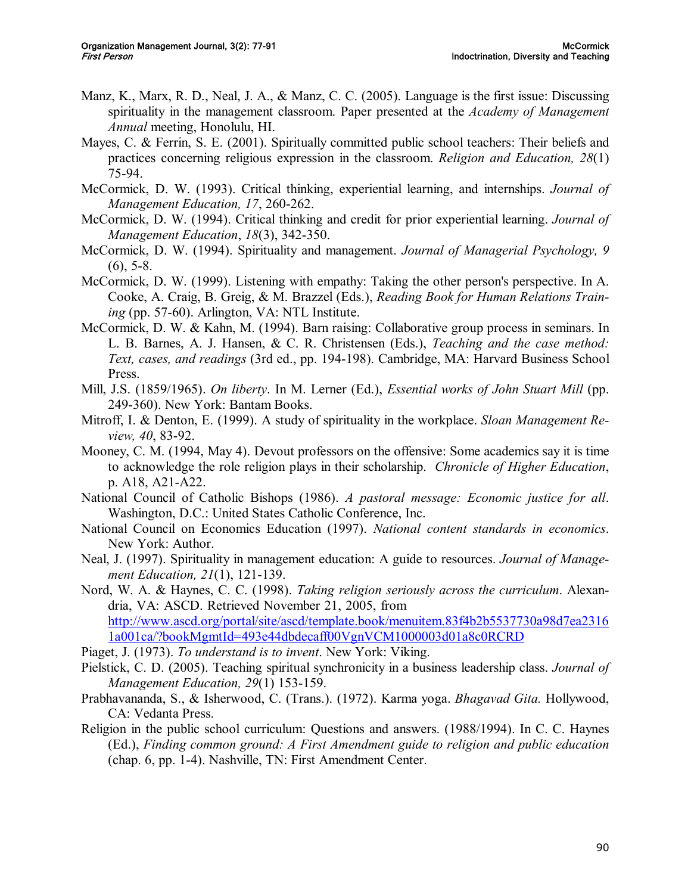- Manz, K., Marx, R. D., Neal, J. A., & Manz, C. C. (2005). Language is the first issue: Discussing spirituality in the management classroom. Paper presented at the *Academy of Management Annual* meeting, Honolulu, HI.
- Mayes, C. & Ferrin, S. E. (2001). Spiritually committed public school teachers: Their beliefs and practices concerning religious expression in the classroom. *Religion and Education*, 28(1) 75-94.
- McCormick, D. W. (1993). Critical thinking, experiential learning, and internships. *Journal of Management Education, 17, 260-262.*
- McCormick, D. W. (1994). Critical thinking and credit for prior experiential learning. *Journal of Management Education, 18(3), 342-350.*
- McCormick, D. W. (1994). Spirituality and management. *Journal of Managerial Psychology, 9*  $(6)$ , 5-8.
- McCormick, D. W. (1999). Listening with empathy: Taking the other person's perspective. In A. Cooke, A. Craig, B. Greig, & M. Brazzel (Eds.), *Reading Book for Human Relations Train ing* (pp. 57-60). Arlington, VA: NTL Institute.
- McCormick, D. W. & Kahn, M. (1994). Barn raising: Collaborative group process in seminars. In L. B. Barnes, A. J. Hansen, & C. R. Christensen (Eds.), *Teaching and the case method: Text, cases, and readings* (3rd ed., pp. 194198). Cambridge, MA: Harvard Business School Press.
- Mill, J.S. (1859/1965). *On liberty*. In M. Lerner (Ed.), *Essential works of John Stuart Mill* (pp. 249-360). New York: Bantam Books.
- Mitroff, I. & Denton, E. (1999). A study of spirituality in the workplace. *Sloan Management Re view, 40, 83-92.*
- Mooney, C. M. (1994, May 4). Devout professors on the offensive: Some academics say it is time to acknowledge the role religion plays in their scholarship. *Chronicle of Higher Education*, p. A18, A21-A22.
- National Council of Catholic Bishops (1986). *A pastoral message: Economic justice for all*. Washington, D.C.: United States Catholic Conference, Inc.
- National Council on Economics Education (1997). *National content standards in economics*. New York: Author.
- Neal, J. (1997). Spirituality in management education: A guide to resources. *Journal of Manage ment Education, 21(1), 121-139.*
- Nord, W. A. & Haynes, C. C. (1998). *Taking religion seriously across the curriculum*. Alexan dria, VA: ASCD. Retrieved November 21, 2005, from [http://www.ascd.org/portal/site/ascd/template.book/menuitem.83f4b2b5537730a98d7ea2316](http://www.ascd.org/portal/site/ascd/template.book/menuitem.83f4b2b5537730a98d7ea23161a001ca/?bookMgmtId=493e44dbdecaff00VgnVCM1000003d01a8c0RCRD)  1a001ca/?bookMgmtId=493e44dbdecaff00VgnVCM1000003d01a8c0RCRD
- Piaget, J. (1973). *To understand is to invent*. New York: Viking.
- Pielstick, C. D. (2005). Teaching spiritual synchronicity in a business leadership class. *Journal of Management Education, 29(1)* 153-159.
- Prabhavananda, S., & Isherwood, C. (Trans.). (1972). Karma yoga. *Bhagavad Gita.* Hollywood, CA: Vedanta Press.
- Religion in the public school curriculum: Questions and answers. (1988/1994). In C. C. Haynes (Ed.), *Finding common ground: A First Amendment guide to religion and public education* (chap. 6, pp. 1-4). Nashville, TN: First Amendment Center.